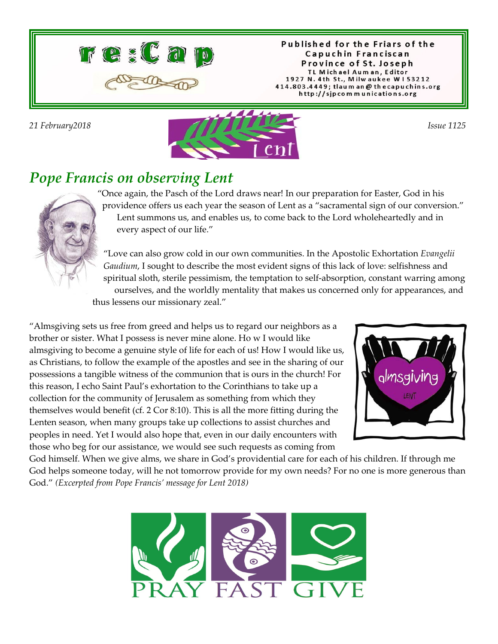

Published for the Friars of the Capuchin Franciscan Province of St. Joseph TL Michael Auman, Editor 1927 N. 4th St., Milwaukee W153212 414.803.4449; tlaum an @ thecapuchins.org http://sjpcommunications.org



### *Pope Francis on observing Lent*

"Once again, the Pasch of the Lord draws near! In our preparation for Easter, God in his providence offers us each year the season of Lent as a "sacramental sign of our conversion." Lent summons us, and enables us, to come back to the Lord wholeheartedly and in every aspect of our life."

"Love can also grow cold in our own communities. In the Apostolic Exhortation *Evangelii Gaudium*, I sought to describe the most evident signs of this lack of love: selfishness and spiritual sloth, sterile pessimism, the temptation to self-absorption, constant warring among ourselves, and the worldly mentality that makes us concerned only for appearances, and thus lessens our missionary zeal."

"Almsgiving sets us free from greed and helps us to regard our neighbors as a brother or sister. What I possess is never mine alone. Ho w I would like almsgiving to become a genuine style of life for each of us! How I would like us, as Christians, to follow the example of the apostles and see in the sharing of our possessions a tangible witness of the communion that is ours in the church! For this reason, I echo Saint Paul's exhortation to the Corinthians to take up a collection for the community of Jerusalem as something from which they themselves would benefit (cf. 2 Cor 8:10). This is all the more fitting during the Lenten season, when many groups take up collections to assist churches and peoples in need. Yet I would also hope that, even in our daily encounters with those who beg for our assistance, we would see such requests as coming from



God himself. When we give alms, we share in God's providential care for each of his children. If through me God helps someone today, will he not tomorrow provide for my own needs? For no one is more generous than God." *(Excerpted from Pope Francis' message for Lent 2018)*

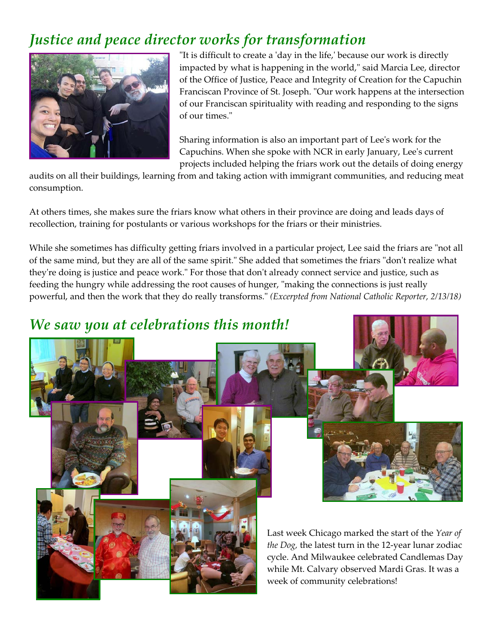## *Justice and peace director works for transformation*



"It is difficult to create a 'day in the life,' because our work is directly impacted by what is happening in the world," said Marcia Lee, director of the Office of Justice, Peace and Integrity of Creation for the Capuchin Franciscan Province of St. Joseph. "Our work happens at the intersection of our Franciscan spirituality with reading and responding to the signs of our times."

Sharing information is also an important part of Lee's work for the Capuchins. When she spoke with NCR in early January, Lee's current projects included helping the friars work out the details of doing energy

audits on all their buildings, learning from and taking action with immigrant communities, and reducing meat consumption.

At others times, she makes sure the friars know what others in their province are doing and leads days of recollection, training for postulants or various workshops for the friars or their ministries.

While she sometimes has difficulty getting friars involved in a particular project, Lee said the friars are "not all of the same mind, but they are all of the same spirit." She added that sometimes the friars "don't realize what they're doing is justice and peace work." For those that don't already connect service and justice, such as feeding the hungry while addressing the root causes of hunger, "making the connections is just really powerful, and then the work that they do really transforms." *(Excerpted from National Catholic Reporter, 2/13/18)*

### *We saw you at celebrations this month!*



Last week Chicago marked the start of the *Year of the Dog,* the latest turn in the 12-year lunar zodiac cycle. And Milwaukee celebrated Candlemas Day while Mt. Calvary observed Mardi Gras. It was a week of community celebrations!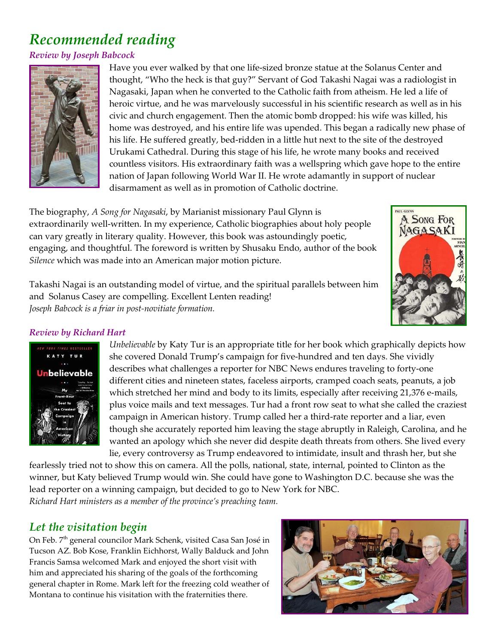# *Recommended reading*

#### *Review by Joseph Babcock*



Have you ever walked by that one life-sized bronze statue at the Solanus Center and thought, "Who the heck is that guy?" Servant of God Takashi Nagai was a radiologist in Nagasaki, Japan when he converted to the Catholic faith from atheism. He led a life of heroic virtue, and he was marvelously successful in his scientific research as well as in his civic and church engagement. Then the atomic bomb dropped: his wife was killed, his home was destroyed, and his entire life was upended. This began a radically new phase of his life. He suffered greatly, bed-ridden in a little hut next to the site of the destroyed Urukami Cathedral. During this stage of his life, he wrote many books and received countless visitors. His extraordinary faith was a wellspring which gave hope to the entire nation of Japan following World War II. He wrote adamantly in support of nuclear disarmament as well as in promotion of Catholic doctrine.

The biography, *A Song for Nagasaki*, by Marianist missionary Paul Glynn is extraordinarily well-written. In my experience, Catholic biographies about holy people can vary greatly in literary quality. However, this book was astoundingly poetic, engaging, and thoughtful. The foreword is written by Shusaku Endo, author of the book *Silence* which was made into an American major motion picture.

Takashi Nagai is an outstanding model of virtue, and the spiritual parallels between him and Solanus Casey are compelling. Excellent Lenten reading! *Joseph Babcock is a friar in post-novitiate formation.*



#### *Review by Richard Hart*



*Unbelievable* by Katy Tur is an appropriate title for her book which graphically depicts how she covered Donald Trump's campaign for five-hundred and ten days. She vividly describes what challenges a reporter for NBC News endures traveling to forty-one different cities and nineteen states, faceless airports, cramped coach seats, peanuts, a job which stretched her mind and body to its limits, especially after receiving 21,376 e-mails, plus voice mails and text messages. Tur had a front row seat to what she called the craziest campaign in American history. Trump called her a third-rate reporter and a liar, even though she accurately reported him leaving the stage abruptly in Raleigh, Carolina, and he wanted an apology which she never did despite death threats from others. She lived every lie, every controversy as Trump endeavored to intimidate, insult and thrash her, but she

fearlessly tried not to show this on camera. All the polls, national, state, internal, pointed to Clinton as the winner, but Katy believed Trump would win. She could have gone to Washington D.C. because she was the lead reporter on a winning campaign, but decided to go to New York for NBC. *Richard Hart ministers as a member of the province's preaching team.*

### *Let the visitation begin*

On Feb. 7<sup>th</sup> general councilor Mark Schenk, visited Casa San José in Tucson AZ. Bob Kose, Franklin Eichhorst, Wally Balduck and John Francis Samsa welcomed Mark and enjoyed the short visit with him and appreciated his sharing of the goals of the forthcoming general chapter in Rome. Mark left for the freezing cold weather of Montana to continue his visitation with the fraternities there.